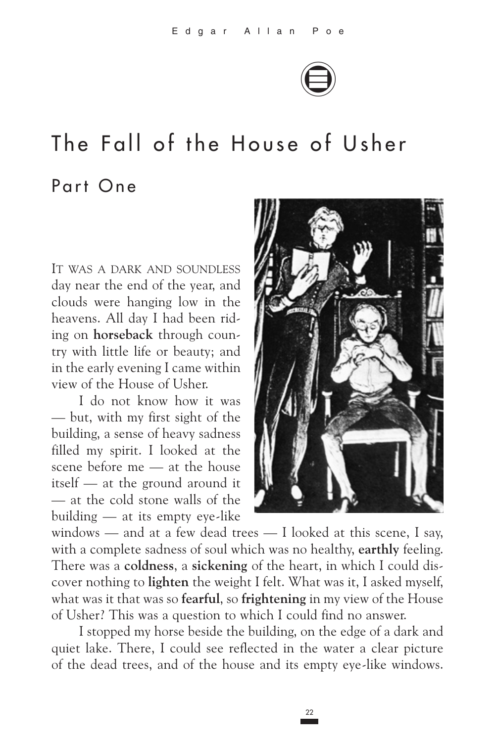

## The Fall of the House of Usher Part One

It was a dark and soundless day near the end of the year, and clouds were hanging low in the heavens. All day I had been riding on **horseback** through country with little life or beauty; and in the early evening I came within view of the House of Usher.

I do not know how it was — but, with my first sight of the building, a sense of heavy sadness filled my spirit. I looked at the scene before me — at the house itself — at the ground around it — at the cold stone walls of the building — at its empty eye-like



windows — and at a few dead trees — I looked at this scene, I say, with a complete sadness of soul which was no healthy, **earthly** feeling. There was a **coldness**, a **sickening** of the heart, in which I could discover nothing to **lighten** the weight I felt. What was it, I asked myself, what was it that was so **fearful**, so **frightening** in my view of the House of Usher? This was a question to which I could find no answer.

I stopped my horse beside the building, on the edge of a dark and quiet lake. There, I could see reflected in the water a clear picture of the dead trees, and of the house and its empty eye-like windows.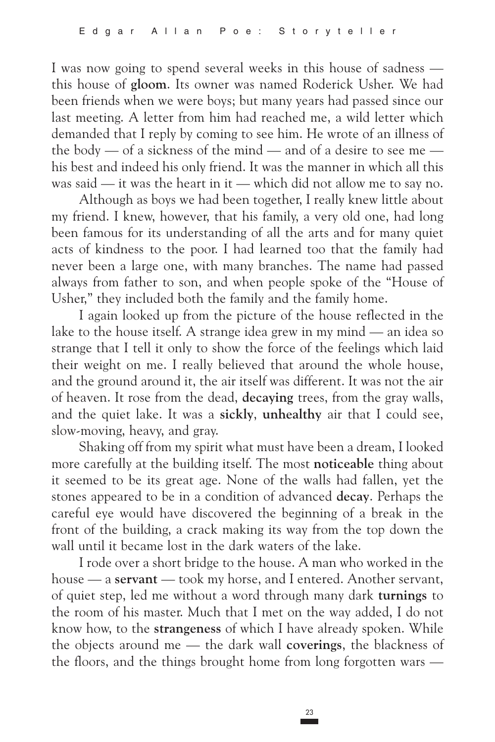I was now going to spend several weeks in this house of sadness this house of **gloom**. Its owner was named Roderick Usher. We had been friends when we were boys; but many years had passed since our last meeting. A letter from him had reached me, a wild letter which demanded that I reply by coming to see him. He wrote of an illness of the body — of a sickness of the mind — and of a desire to see me his best and indeed his only friend. It was the manner in which all this was said — it was the heart in it — which did not allow me to say no.

Although as boys we had been together, I really knew little about my friend. I knew, however, that his family, a very old one, had long been famous for its understanding of all the arts and for many quiet acts of kindness to the poor. I had learned too that the family had never been a large one, with many branches. The name had passed always from father to son, and when people spoke of the "House of Usher," they included both the family and the family home.

I again looked up from the picture of the house reflected in the lake to the house itself. A strange idea grew in my mind — an idea so strange that I tell it only to show the force of the feelings which laid their weight on me. I really believed that around the whole house, and the ground around it, the air itself was different. It was not the air of heaven. It rose from the dead, **decaying** trees, from the gray walls, and the quiet lake. It was a **sickly**, **unhealthy** air that I could see, slow-moving, heavy, and gray.

Shaking off from my spirit what must have been a dream, I looked more carefully at the building itself. The most **noticeable** thing about it seemed to be its great age. None of the walls had fallen, yet the stones appeared to be in a condition of advanced **decay**. Perhaps the careful eye would have discovered the beginning of a break in the front of the building, a crack making its way from the top down the wall until it became lost in the dark waters of the lake.

I rode over a short bridge to the house. A man who worked in the house — a **servant** — took my horse, and I entered. Another servant, of quiet step, led me without a word through many dark **turnings** to the room of his master. Much that I met on the way added, I do not know how, to the **strangeness** of which I have already spoken. While the objects around me — the dark wall **coverings**, the blackness of the floors, and the things brought home from long forgotten wars —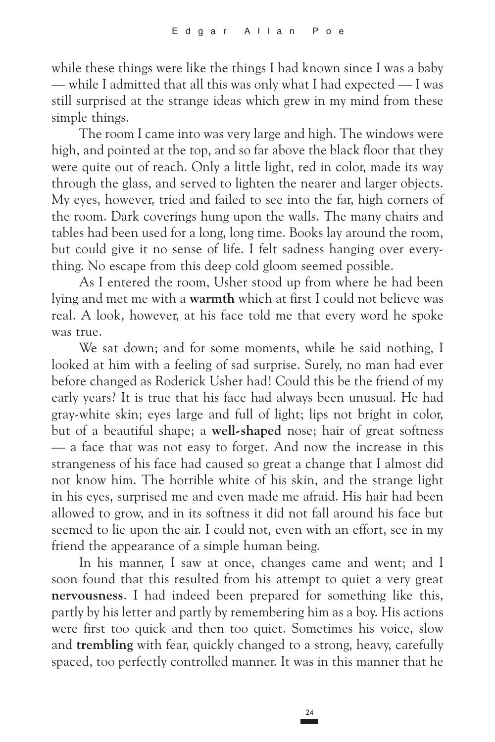while these things were like the things I had known since I was a baby — while I admitted that all this was only what I had expected — I was still surprised at the strange ideas which grew in my mind from these simple things.

The room I came into was very large and high. The windows were high, and pointed at the top, and so far above the black floor that they were quite out of reach. Only a little light, red in color, made its way through the glass, and served to lighten the nearer and larger objects. My eyes, however, tried and failed to see into the far, high corners of the room. Dark coverings hung upon the walls. The many chairs and tables had been used for a long, long time. Books lay around the room, but could give it no sense of life. I felt sadness hanging over everything. No escape from this deep cold gloom seemed possible.

As I entered the room, Usher stood up from where he had been lying and met me with a **warmth** which at first I could not believe was real. A look, however, at his face told me that every word he spoke was true.

We sat down; and for some moments, while he said nothing, I looked at him with a feeling of sad surprise. Surely, no man had ever before changed as Roderick Usher had! Could this be the friend of my early years? It is true that his face had always been unusual. He had gray-white skin; eyes large and full of light; lips not bright in color, but of a beautiful shape; a **well-shaped** nose; hair of great softness — a face that was not easy to forget. And now the increase in this strangeness of his face had caused so great a change that I almost did not know him. The horrible white of his skin, and the strange light in his eyes, surprised me and even made me afraid. His hair had been allowed to grow, and in its softness it did not fall around his face but seemed to lie upon the air. I could not, even with an effort, see in my friend the appearance of a simple human being.

In his manner, I saw at once, changes came and went; and I soon found that this resulted from his attempt to quiet a very great **nervousness**. I had indeed been prepared for something like this, partly by his letter and partly by remembering him as a boy. His actions were first too quick and then too quiet. Sometimes his voice, slow and **trembling** with fear, quickly changed to a strong, heavy, carefully spaced, too perfectly controlled manner. It was in this manner that he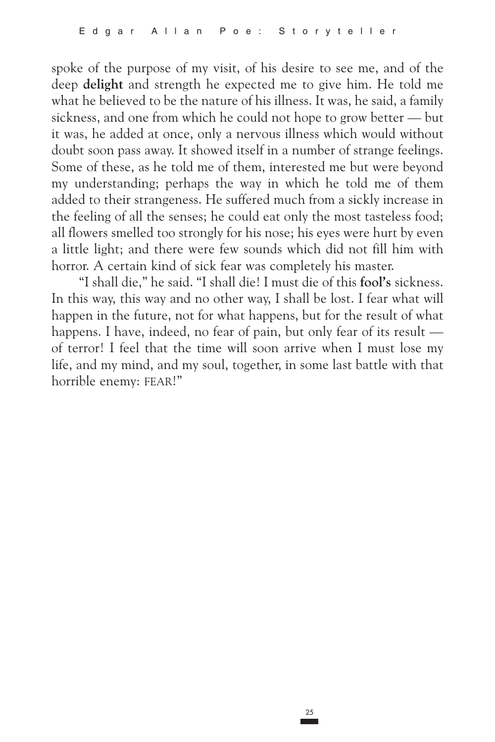spoke of the purpose of my visit, of his desire to see me, and of the deep **delight** and strength he expected me to give him. He told me what he believed to be the nature of his illness. It was, he said, a family sickness, and one from which he could not hope to grow better — but it was, he added at once, only a nervous illness which would without doubt soon pass away. It showed itself in a number of strange feelings. Some of these, as he told me of them, interested me but were beyond my understanding; perhaps the way in which he told me of them added to their strangeness. He suffered much from a sickly increase in the feeling of all the senses; he could eat only the most tasteless food; all flowers smelled too strongly for his nose; his eyes were hurt by even a little light; and there were few sounds which did not fill him with horror. A certain kind of sick fear was completely his master.

"I shall die," he said. "I shall die! I must die of this **fool's** sickness. In this way, this way and no other way, I shall be lost. I fear what will happen in the future, not for what happens, but for the result of what happens. I have, indeed, no fear of pain, but only fear of its result of terror! I feel that the time will soon arrive when I must lose my life, and my mind, and my soul, together, in some last battle with that horrible enemy: FEAR!"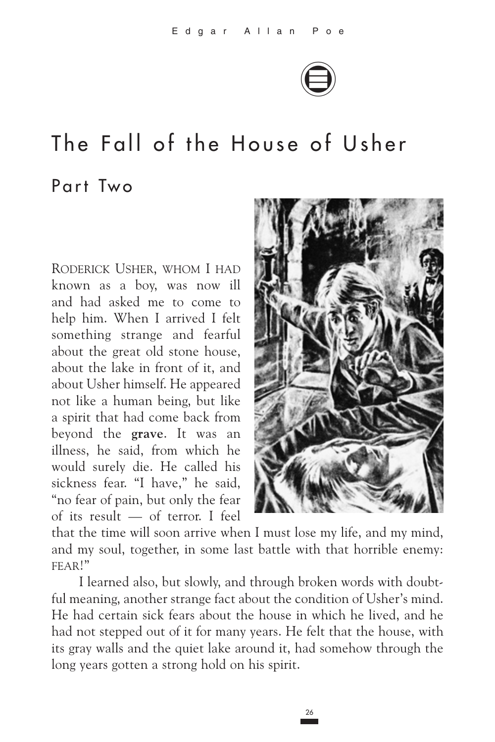

## The Fall of the House of Usher

## Part Two

Roderick Usher, whom I had known as a boy, was now ill and had asked me to come to help him. When I arrived I felt something strange and fearful about the great old stone house, about the lake in front of it, and about Usher himself. He appeared not like a human being, but like a spirit that had come back from beyond the **grave**. It was an illness, he said, from which he would surely die. He called his sickness fear. "I have," he said, "no fear of pain, but only the fear of its result — of terror. I feel



that the time will soon arrive when I must lose my life, and my mind, and my soul, together, in some last battle with that horrible enemy: fear!"

I learned also, but slowly, and through broken words with doubtful meaning, another strange fact about the condition of Usher's mind. He had certain sick fears about the house in which he lived, and he had not stepped out of it for many years. He felt that the house, with its gray walls and the quiet lake around it, had somehow through the long years gotten a strong hold on his spirit.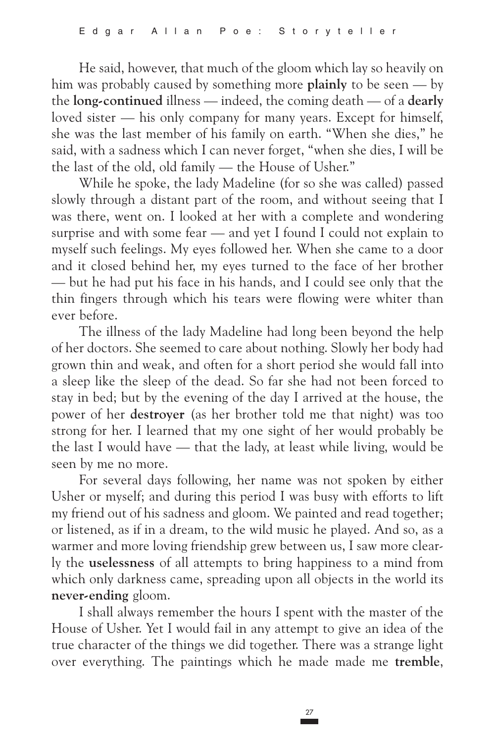He said, however, that much of the gloom which lay so heavily on him was probably caused by something more **plainly** to be seen — by the **long-continued** illness — indeed, the coming death — of a **dearly**  loved sister — his only company for many years. Except for himself, she was the last member of his family on earth. "When she dies," he said, with a sadness which I can never forget, "when she dies, I will be the last of the old, old family — the House of Usher."

While he spoke, the lady Madeline (for so she was called) passed slowly through a distant part of the room, and without seeing that I was there, went on. I looked at her with a complete and wondering surprise and with some fear — and yet I found I could not explain to myself such feelings. My eyes followed her. When she came to a door and it closed behind her, my eyes turned to the face of her brother — but he had put his face in his hands, and I could see only that the thin fingers through which his tears were flowing were whiter than ever before.

The illness of the lady Madeline had long been beyond the help of her doctors. She seemed to care about nothing. Slowly her body had grown thin and weak, and often for a short period she would fall into a sleep like the sleep of the dead. So far she had not been forced to stay in bed; but by the evening of the day I arrived at the house, the power of her **destroyer** (as her brother told me that night) was too strong for her. I learned that my one sight of her would probably be the last I would have — that the lady, at least while living, would be seen by me no more.

For several days following, her name was not spoken by either Usher or myself; and during this period I was busy with efforts to lift my friend out of his sadness and gloom. We painted and read together; or listened, as if in a dream, to the wild music he played. And so, as a warmer and more loving friendship grew between us, I saw more clearly the **uselessness** of all attempts to bring happiness to a mind from which only darkness came, spreading upon all objects in the world its **never-ending** gloom.

I shall always remember the hours I spent with the master of the House of Usher. Yet I would fail in any attempt to give an idea of the true character of the things we did together. There was a strange light over everything. The paintings which he made made me **tremble**,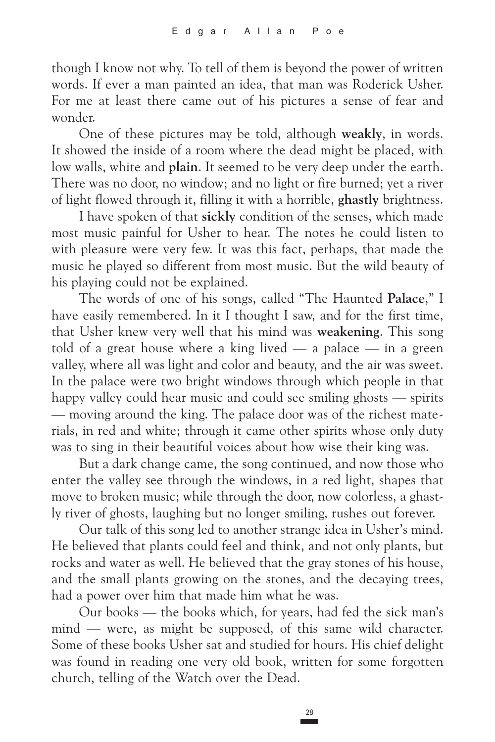though I know not why. To tell of them is beyond the power of written words. If ever a man painted an idea, that man was Roderick Usher. For me at least there came out of his pictures a sense of fear and wonder.

One of these pictures may be told, although **weakly**, in words. It showed the inside of a room where the dead might be placed, with low walls, white and **plain**. It seemed to be very deep under the earth. There was no door, no window; and no light or fire burned; yet a river of light flowed through it, filling it with a horrible, **ghastly** brightness.

I have spoken of that **sickly** condition of the senses, which made most music painful for Usher to hear. The notes he could listen to with pleasure were very few. It was this fact, perhaps, that made the music he played so different from most music. But the wild beauty of his playing could not be explained.

The words of one of his songs, called "The Haunted **Palace**," I have easily remembered. In it I thought I saw, and for the first time, that Usher knew very well that his mind was **weakening**. This song told of a great house where a king lived — a palace — in a green valley, where all was light and color and beauty, and the air was sweet. In the palace were two bright windows through which people in that happy valley could hear music and could see smiling ghosts — spirits — moving around the king. The palace door was of the richest materials, in red and white; through it came other spirits whose only duty was to sing in their beautiful voices about how wise their king was.

But a dark change came, the song continued, and now those who enter the valley see through the windows, in a red light, shapes that move to broken music; while through the door, now colorless, a ghastly river of ghosts, laughing but no longer smiling, rushes out forever.

Our talk of this song led to another strange idea in Usher's mind. He believed that plants could feel and think, and not only plants, but rocks and water as well. He believed that the gray stones of his house, and the small plants growing on the stones, and the decaying trees, had a power over him that made him what he was.

Our books — the books which, for years, had fed the sick man's mind — were, as might be supposed, of this same wild character. Some of these books Usher sat and studied for hours. His chief delight was found in reading one very old book, written for some forgotten church, telling of the Watch over the Dead.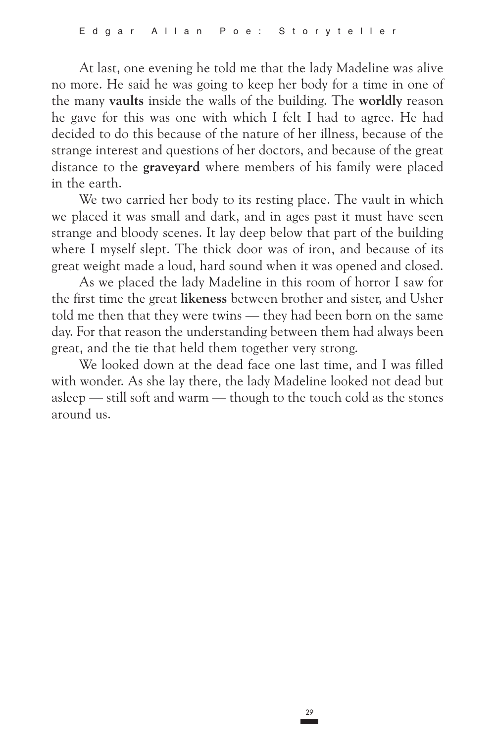At last, one evening he told me that the lady Madeline was alive no more. He said he was going to keep her body for a time in one of the many **vaults** inside the walls of the building. The **worldly** reason he gave for this was one with which I felt I had to agree. He had decided to do this because of the nature of her illness, because of the strange interest and questions of her doctors, and because of the great distance to the **graveyard** where members of his family were placed in the earth.

We two carried her body to its resting place. The vault in which we placed it was small and dark, and in ages past it must have seen strange and bloody scenes. It lay deep below that part of the building where I myself slept. The thick door was of iron, and because of its great weight made a loud, hard sound when it was opened and closed.

As we placed the lady Madeline in this room of horror I saw for the first time the great **likeness** between brother and sister, and Usher told me then that they were twins — they had been born on the same day. For that reason the understanding between them had always been great, and the tie that held them together very strong.

We looked down at the dead face one last time, and I was filled with wonder. As she lay there, the lady Madeline looked not dead but asleep — still soft and warm — though to the touch cold as the stones around us.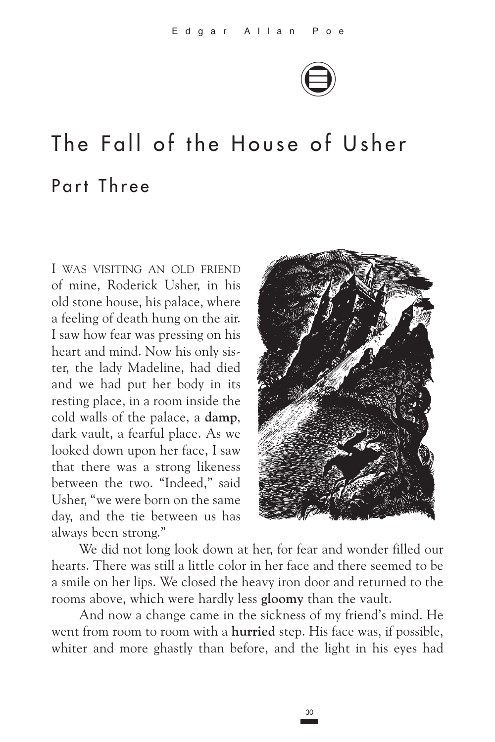

## The Fall of the House of Usher Part Three

I was visiting an old friend of mine, Roderick Usher, in his old stone house, his palace, where a feeling of death hung on the air. I saw how fear was pressing on his heart and mind. Now his only sister, the lady Madeline, had died and we had put her body in its resting place, in a room inside the cold walls of the palace, a **damp**, dark vault, a fearful place. As we looked down upon her face, I saw that there was a strong likeness between the two. "Indeed," said Usher, "we were born on the same day, and the tie between us has always been strong."



We did not long look down at her, for fear and wonder filled our hearts. There was still a little color in her face and there seemed to be a smile on her lips. We closed the heavy iron door and returned to the rooms above, which were hardly less **gloomy** than the vault.

And now a change came in the sickness of my friend's mind. He went from room to room with a **hurried** step. His face was, if possible, whiter and more ghastly than before, and the light in his eyes had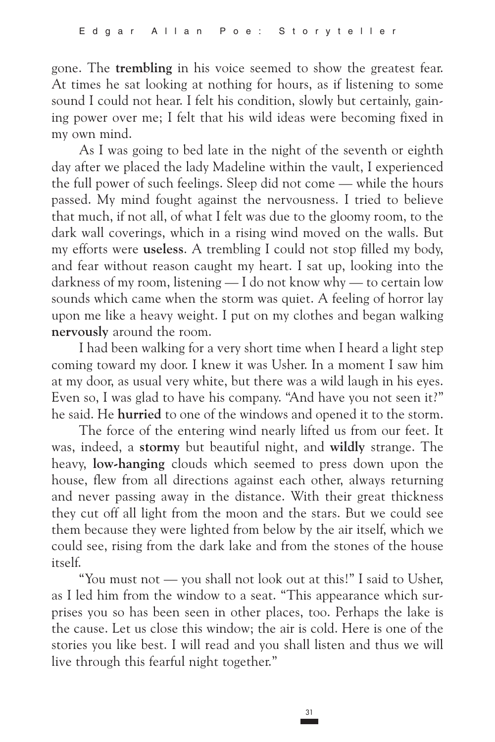gone. The **trembling** in his voice seemed to show the greatest fear. At times he sat looking at nothing for hours, as if listening to some sound I could not hear. I felt his condition, slowly but certainly, gaining power over me; I felt that his wild ideas were becoming fixed in my own mind.

As I was going to bed late in the night of the seventh or eighth day after we placed the lady Madeline within the vault, I experienced the full power of such feelings. Sleep did not come — while the hours passed. My mind fought against the nervousness. I tried to believe that much, if not all, of what I felt was due to the gloomy room, to the dark wall coverings, which in a rising wind moved on the walls. But my efforts were **useless**. A trembling I could not stop filled my body, and fear without reason caught my heart. I sat up, looking into the darkness of my room, listening — I do not know why — to certain low sounds which came when the storm was quiet. A feeling of horror lay upon me like a heavy weight. I put on my clothes and began walking **nervously** around the room.

I had been walking for a very short time when I heard a light step coming toward my door. I knew it was Usher. In a moment I saw him at my door, as usual very white, but there was a wild laugh in his eyes. Even so, I was glad to have his company. "And have you not seen it?" he said. He **hurried** to one of the windows and opened it to the storm.

The force of the entering wind nearly lifted us from our feet. It was, indeed, a **stormy** but beautiful night, and **wildly** strange. The heavy, **low-hanging** clouds which seemed to press down upon the house, flew from all directions against each other, always returning and never passing away in the distance. With their great thickness they cut off all light from the moon and the stars. But we could see them because they were lighted from below by the air itself, which we could see, rising from the dark lake and from the stones of the house itself.

"You must not — you shall not look out at this!" I said to Usher, as I led him from the window to a seat. "This appearance which surprises you so has been seen in other places, too. Perhaps the lake is the cause. Let us close this window; the air is cold. Here is one of the stories you like best. I will read and you shall listen and thus we will live through this fearful night together."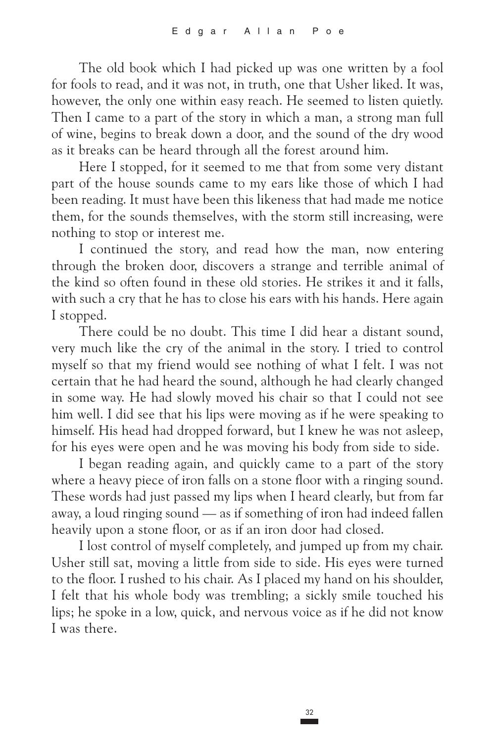The old book which I had picked up was one written by a fool for fools to read, and it was not, in truth, one that Usher liked. It was, however, the only one within easy reach. He seemed to listen quietly. Then I came to a part of the story in which a man, a strong man full of wine, begins to break down a door, and the sound of the dry wood as it breaks can be heard through all the forest around him.

Here I stopped, for it seemed to me that from some very distant part of the house sounds came to my ears like those of which I had been reading. It must have been this likeness that had made me notice them, for the sounds themselves, with the storm still increasing, were nothing to stop or interest me.

I continued the story, and read how the man, now entering through the broken door, discovers a strange and terrible animal of the kind so often found in these old stories. He strikes it and it falls, with such a cry that he has to close his ears with his hands. Here again I stopped.

There could be no doubt. This time I did hear a distant sound, very much like the cry of the animal in the story. I tried to control myself so that my friend would see nothing of what I felt. I was not certain that he had heard the sound, although he had clearly changed in some way. He had slowly moved his chair so that I could not see him well. I did see that his lips were moving as if he were speaking to himself. His head had dropped forward, but I knew he was not asleep, for his eyes were open and he was moving his body from side to side.

I began reading again, and quickly came to a part of the story where a heavy piece of iron falls on a stone floor with a ringing sound. These words had just passed my lips when I heard clearly, but from far away, a loud ringing sound — as if something of iron had indeed fallen heavily upon a stone floor, or as if an iron door had closed.

I lost control of myself completely, and jumped up from my chair. Usher still sat, moving a little from side to side. His eyes were turned to the floor. I rushed to his chair. As I placed my hand on his shoulder, I felt that his whole body was trembling; a sickly smile touched his lips; he spoke in a low, quick, and nervous voice as if he did not know I was there.